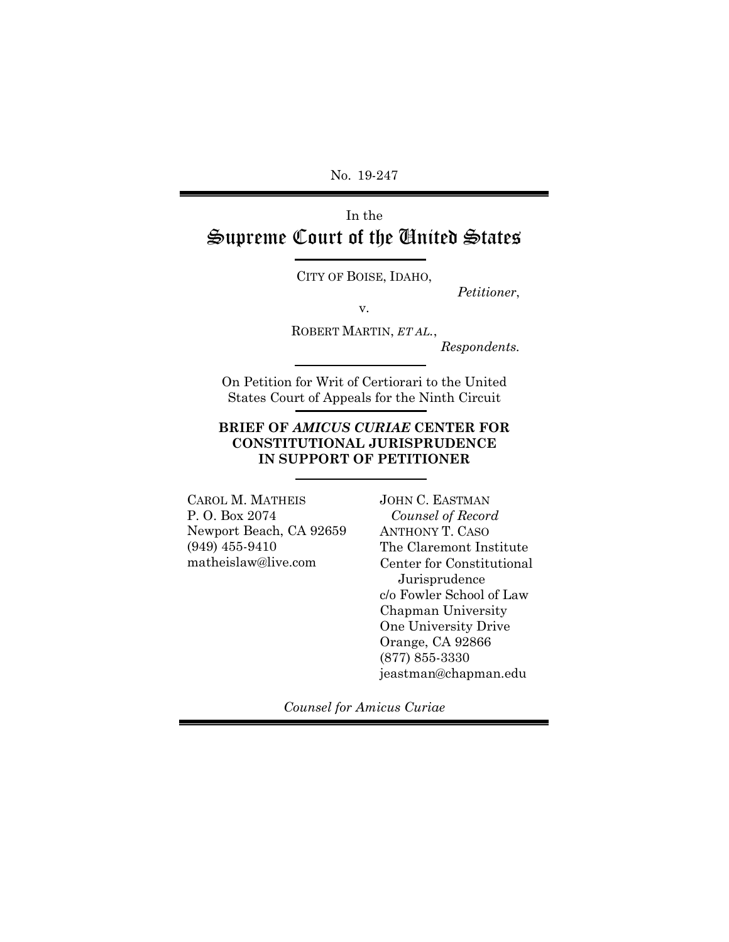No. 19-247

# In the Supreme Court of the United States

CITY OF BOISE, IDAHO,

v.

*Petitioner*,

ROBERT MARTIN, *ET AL.*,

*Respondents.*

On Petition for Writ of Certiorari to the United States Court of Appeals for the Ninth Circuit

#### **BRIEF OF** *AMICUS CURIAE* **CENTER FOR CONSTITUTIONAL JURISPRUDENCE IN SUPPORT OF PETITIONER**

CAROL M. MATHEIS P. O. Box 2074 Newport Beach, CA 92659 (949) 455-9410 matheislaw@live.com

JOHN C. EASTMAN  *Counsel of Record* ANTHONY T. CASO The Claremont Institute Center for Constitutional Jurisprudence c/o Fowler School of Law Chapman University One University Drive Orange, CA 92866 (877) 855-3330 jeastman@chapman.edu

*Counsel for Amicus Curiae*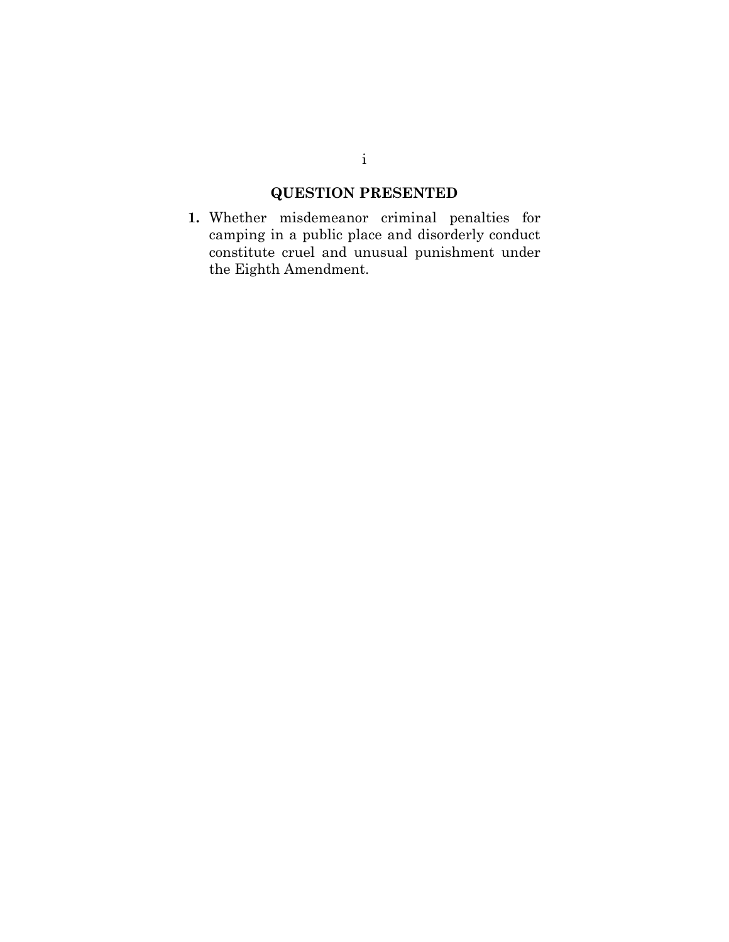## **QUESTION PRESENTED**

**1.** Whether misdemeanor criminal penalties for camping in a public place and disorderly conduct constitute cruel and unusual punishment under the Eighth Amendment.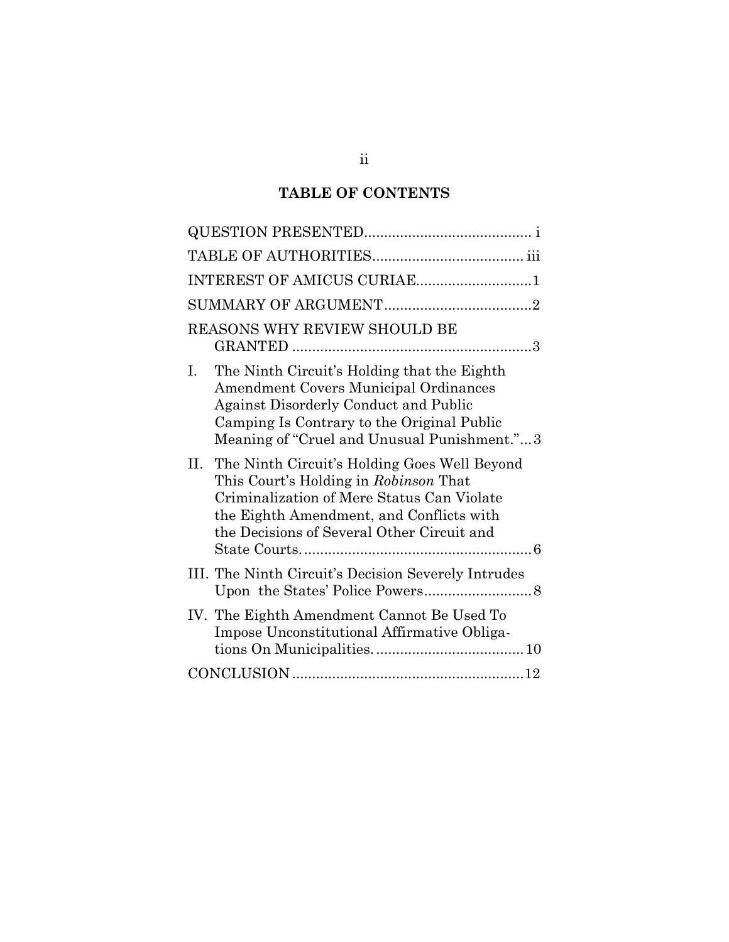## **TABLE OF CONTENTS**

| INTEREST OF AMICUS CURIAE1                                                                                                                                                                                                              |
|-----------------------------------------------------------------------------------------------------------------------------------------------------------------------------------------------------------------------------------------|
|                                                                                                                                                                                                                                         |
| REASONS WHY REVIEW SHOULD BE<br>3                                                                                                                                                                                                       |
| The Ninth Circuit's Holding that the Eighth<br>L.<br>Amendment Covers Municipal Ordinances<br><b>Against Disorderly Conduct and Public</b><br>Camping Is Contrary to the Original Public<br>Meaning of "Cruel and Unusual Punishment."3 |
| П.<br>The Ninth Circuit's Holding Goes Well Beyond<br>This Court's Holding in Robinson That<br>Criminalization of Mere Status Can Violate<br>the Eighth Amendment, and Conflicts with<br>the Decisions of Several Other Circuit and     |
| III. The Ninth Circuit's Decision Severely Intrudes                                                                                                                                                                                     |
| IV. The Eighth Amendment Cannot Be Used To<br>Impose Unconstitutional Affirmative Obliga-                                                                                                                                               |
|                                                                                                                                                                                                                                         |

ii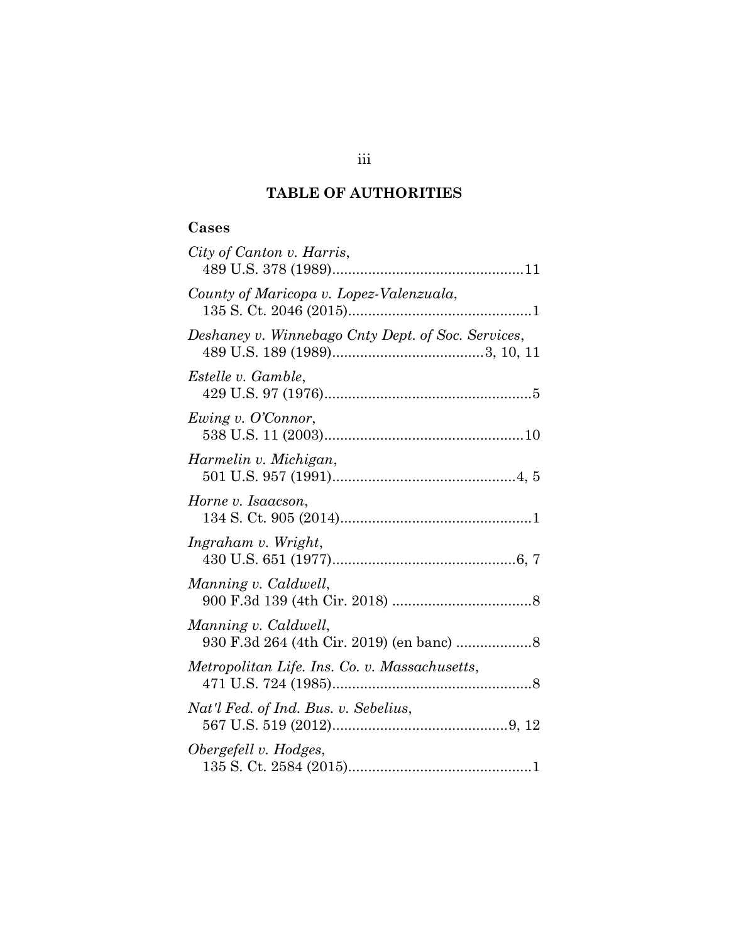## **TABLE OF AUTHORITIES**

### **Cases**

| City of Canton v. Harris,                          |
|----------------------------------------------------|
| County of Maricopa v. Lopez-Valenzuala,            |
| Deshaney v. Winnebago Cnty Dept. of Soc. Services, |
| Estelle v. Gamble,                                 |
| Ewing v. O'Connor,                                 |
| Harmelin v. Michigan,                              |
| Horne v. Isaacson,                                 |
| Ingraham v. Wright,                                |
| Manning v. Caldwell,                               |
| Manning v. Caldwell,                               |
| Metropolitan Life. Ins. Co. v. Massachusetts,      |
| Nat'l Fed. of Ind. Bus. v. Sebelius,               |
| Obergefell v. Hodges,                              |

### iii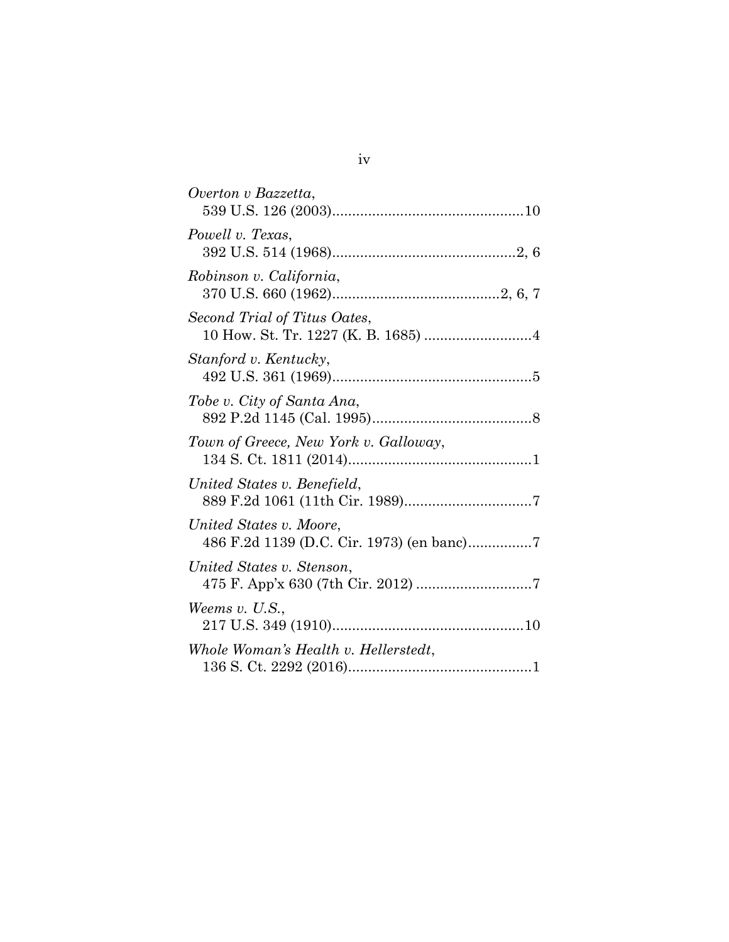| Overton v Bazzetta,                                                  |
|----------------------------------------------------------------------|
| Powell v. Texas,                                                     |
| Robinson v. California,                                              |
| Second Trial of Titus Oates,                                         |
| Stanford v. Kentucky,                                                |
| Tobe v. City of Santa Ana,                                           |
| Town of Greece, New York v. Galloway,                                |
| United States v. Benefield,                                          |
| United States v. Moore,<br>486 F.2d 1139 (D.C. Cir. 1973) (en banc)7 |
| United States v. Stenson,                                            |
| Weems $v.$ U.S.,                                                     |
| Whole Woman's Health v. Hellerstedt,                                 |
|                                                                      |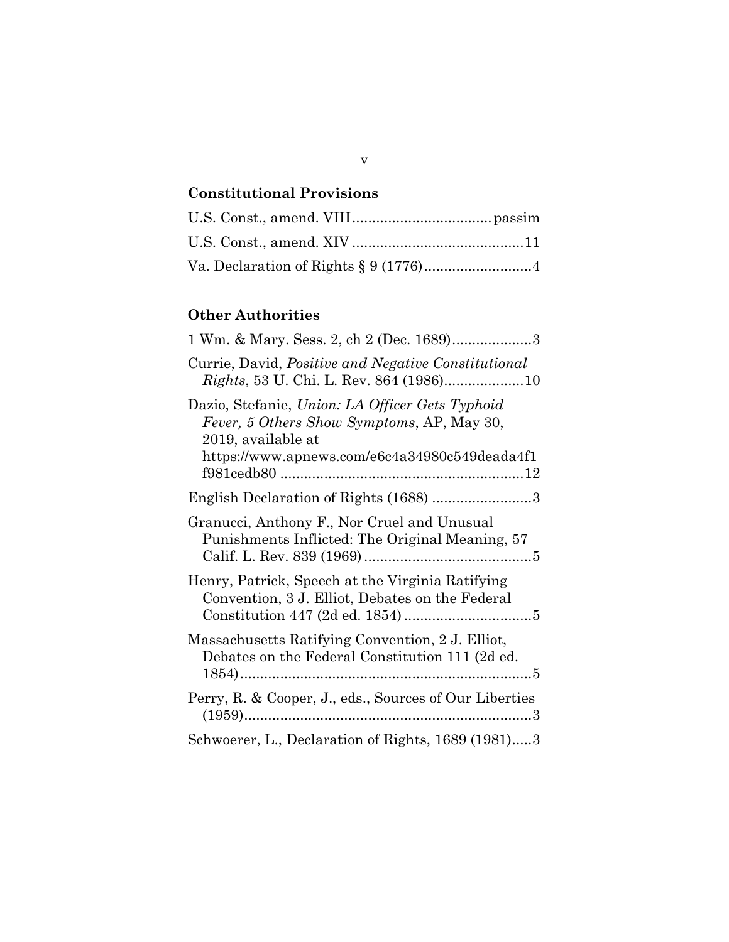# **Constitutional Provisions**

## **Other Authorities**

| 1 Wm. & Mary. Sess. 2, ch 2 (Dec. 1689)3                                                                                                                             |
|----------------------------------------------------------------------------------------------------------------------------------------------------------------------|
| Currie, David, <i>Positive and Negative Constitutional</i>                                                                                                           |
| Dazio, Stefanie, Union: LA Officer Gets Typhoid<br>Fever, 5 Others Show Symptoms, AP, May 30,<br>2019, available at<br>https://www.apnews.com/e6c4a34980c549deada4f1 |
| English Declaration of Rights (1688) 3                                                                                                                               |
| Granucci, Anthony F., Nor Cruel and Unusual<br>Punishments Inflicted: The Original Meaning, 57                                                                       |
| Henry, Patrick, Speech at the Virginia Ratifying<br>Convention, 3 J. Elliot, Debates on the Federal                                                                  |
| Massachusetts Ratifying Convention, 2 J. Elliot,<br>Debates on the Federal Constitution 111 (2d ed.                                                                  |
| Perry, R. & Cooper, J., eds., Sources of Our Liberties                                                                                                               |
| Schwoerer, L., Declaration of Rights, 1689 (1981)3                                                                                                                   |

v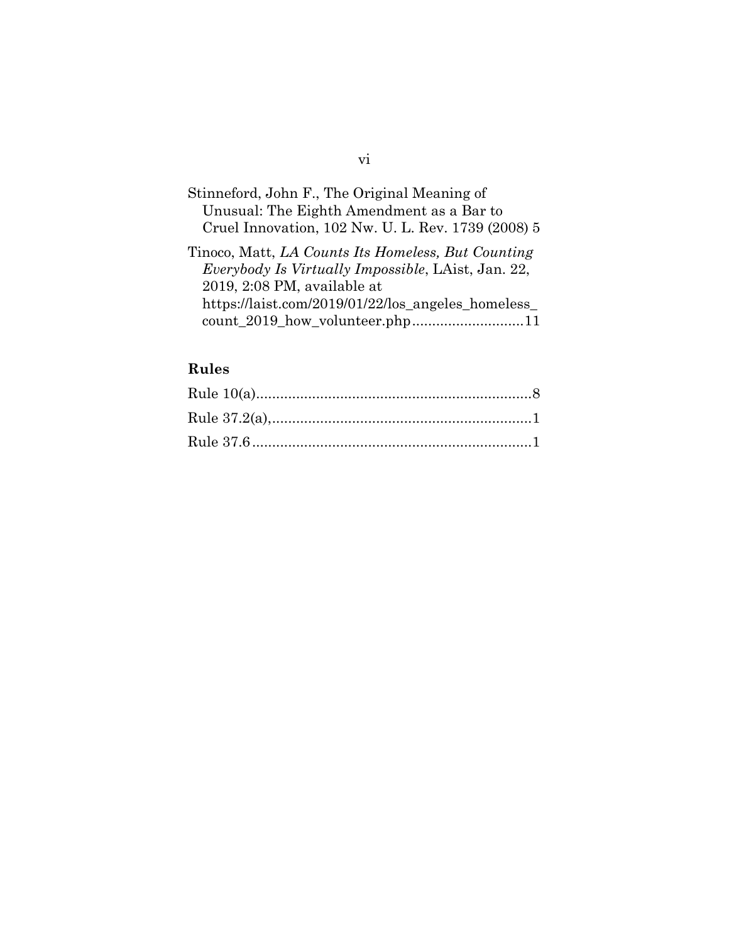| Stinneford, John F., The Original Meaning of       |  |
|----------------------------------------------------|--|
| Unusual: The Eighth Amendment as a Bar to          |  |
| Cruel Innovation, 102 Nw. U. L. Rev. 1739 (2008) 5 |  |

Tinoco, Matt, *LA Counts Its Homeless, But Counting Everybody Is Virtually Impossible*, LAist, Jan. 22, 2019, 2:08 PM, available at https://laist.com/2019/01/22/los\_angeles\_homeless\_ count\_2019\_how\_volunteer.php............................11

### **Rules**

### vi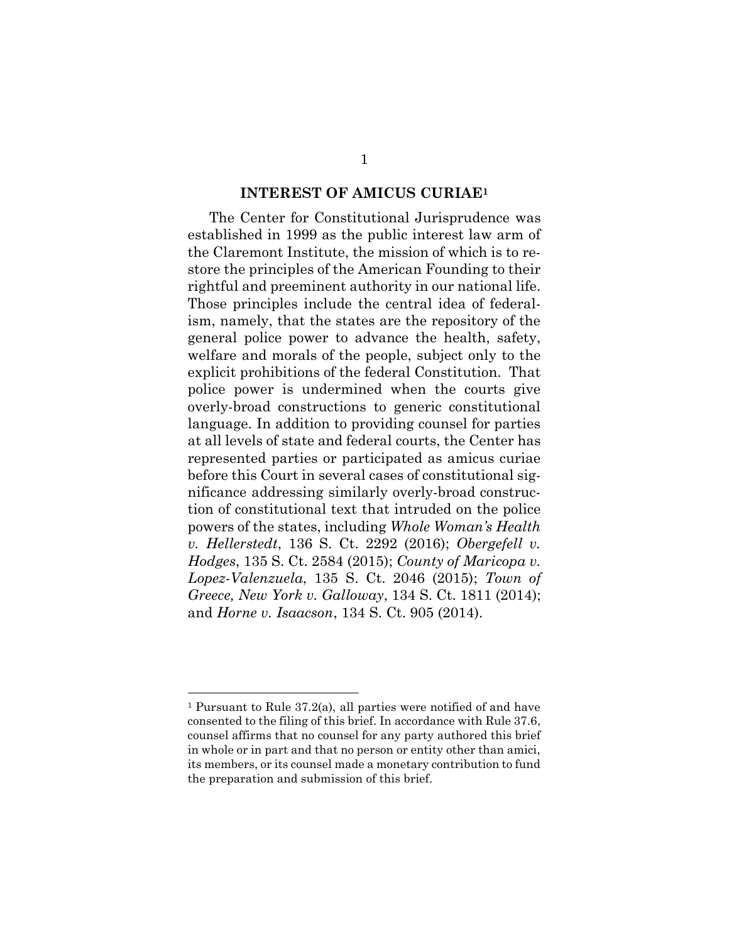#### **INTEREST OF AMICUS CURIAE<sup>1</sup>**

The Center for Constitutional Jurisprudence was established in 1999 as the public interest law arm of the Claremont Institute, the mission of which is to restore the principles of the American Founding to their rightful and preeminent authority in our national life. Those principles include the central idea of federalism, namely, that the states are the repository of the general police power to advance the health, safety, welfare and morals of the people, subject only to the explicit prohibitions of the federal Constitution. That police power is undermined when the courts give overly-broad constructions to generic constitutional language. In addition to providing counsel for parties at all levels of state and federal courts, the Center has represented parties or participated as amicus curiae before this Court in several cases of constitutional significance addressing similarly overly-broad construction of constitutional text that intruded on the police powers of the states, including *Whole Woman's Health v. Hellerstedt*, 136 S. Ct. 2292 (2016); *Obergefell v. Hodges*, 135 S. Ct. 2584 (2015); *County of Maricopa v. Lopez-Valenzuela*, 135 S. Ct. 2046 (2015); *Town of Greece, New York v. Galloway*, 134 S. Ct. 1811 (2014); and *Horne v. Isaacson*, 134 S. Ct. 905 (2014).

<sup>1</sup> Pursuant to Rule 37.2(a), all parties were notified of and have consented to the filing of this brief. In accordance with Rule 37.6, counsel affirms that no counsel for any party authored this brief in whole or in part and that no person or entity other than amici, its members, or its counsel made a monetary contribution to fund the preparation and submission of this brief.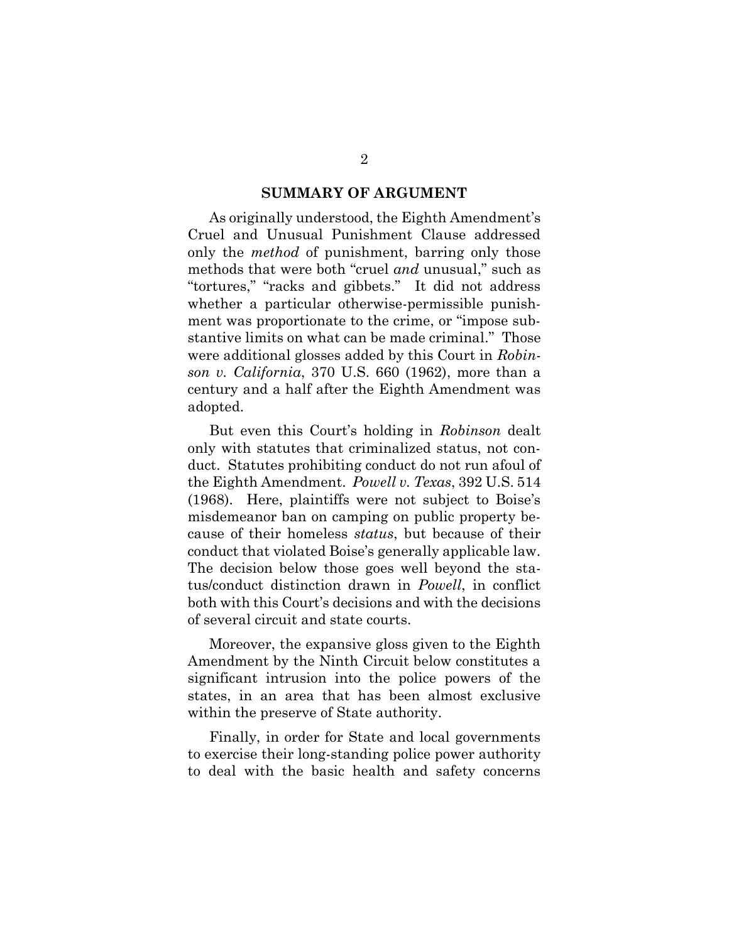#### **SUMMARY OF ARGUMENT**

As originally understood, the Eighth Amendment's Cruel and Unusual Punishment Clause addressed only the *method* of punishment, barring only those methods that were both "cruel *and* unusual," such as "tortures," "racks and gibbets." It did not address whether a particular otherwise-permissible punishment was proportionate to the crime, or "impose substantive limits on what can be made criminal." Those were additional glosses added by this Court in *Robinson v. California*, 370 U.S. 660 (1962), more than a century and a half after the Eighth Amendment was adopted.

But even this Court's holding in *Robinson* dealt only with statutes that criminalized status, not conduct. Statutes prohibiting conduct do not run afoul of the Eighth Amendment. *Powell v. Texas*, 392 U.S. 514 (1968). Here, plaintiffs were not subject to Boise's misdemeanor ban on camping on public property because of their homeless *status*, but because of their conduct that violated Boise's generally applicable law. The decision below those goes well beyond the status/conduct distinction drawn in *Powell*, in conflict both with this Court's decisions and with the decisions of several circuit and state courts.

Moreover, the expansive gloss given to the Eighth Amendment by the Ninth Circuit below constitutes a significant intrusion into the police powers of the states, in an area that has been almost exclusive within the preserve of State authority.

Finally, in order for State and local governments to exercise their long-standing police power authority to deal with the basic health and safety concerns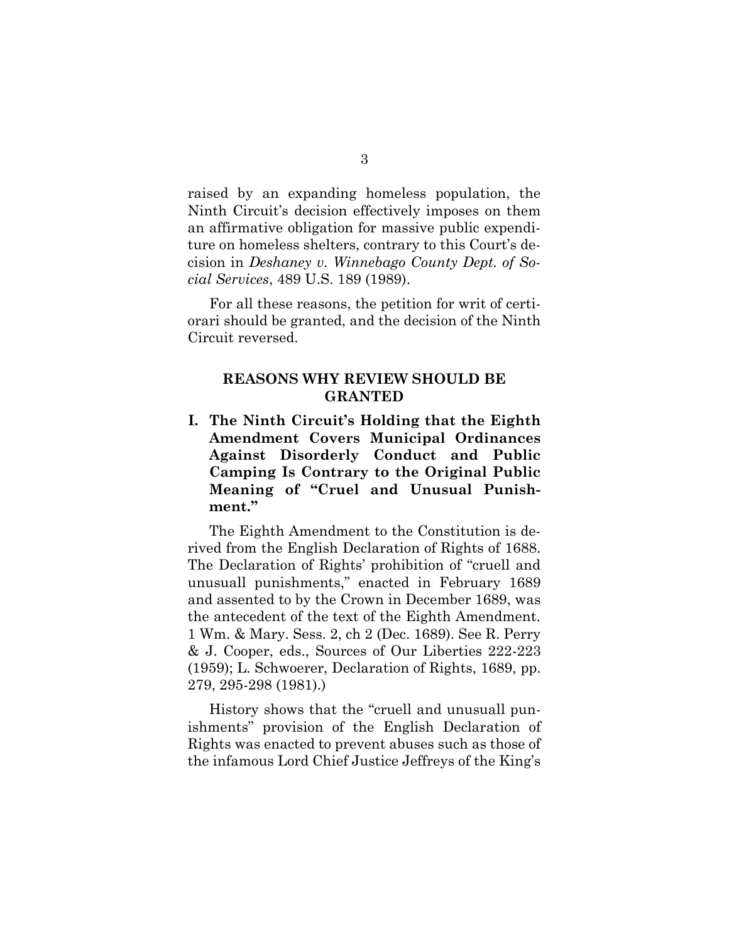raised by an expanding homeless population, the Ninth Circuit's decision effectively imposes on them an affirmative obligation for massive public expenditure on homeless shelters, contrary to this Court's decision in *Deshaney v. Winnebago County Dept. of Social Services*, 489 U.S. 189 (1989).

For all these reasons, the petition for writ of certiorari should be granted, and the decision of the Ninth Circuit reversed.

#### **REASONS WHY REVIEW SHOULD BE GRANTED**

**I. The Ninth Circuit's Holding that the Eighth Amendment Covers Municipal Ordinances Against Disorderly Conduct and Public Camping Is Contrary to the Original Public Meaning of "Cruel and Unusual Punishment."**

The Eighth Amendment to the Constitution is derived from the English Declaration of Rights of 1688. The Declaration of Rights' prohibition of "cruell and unusuall punishments," enacted in February 1689 and assented to by the Crown in December 1689, was the antecedent of the text of the Eighth Amendment. 1 Wm. & Mary. Sess. 2, ch 2 (Dec. 1689). See R. Perry & J. Cooper, eds., Sources of Our Liberties 222-223 (1959); L. Schwoerer, Declaration of Rights, 1689, pp. 279, 295-298 (1981).)

History shows that the "cruell and unusuall punishments" provision of the English Declaration of Rights was enacted to prevent abuses such as those of the infamous Lord Chief Justice Jeffreys of the King's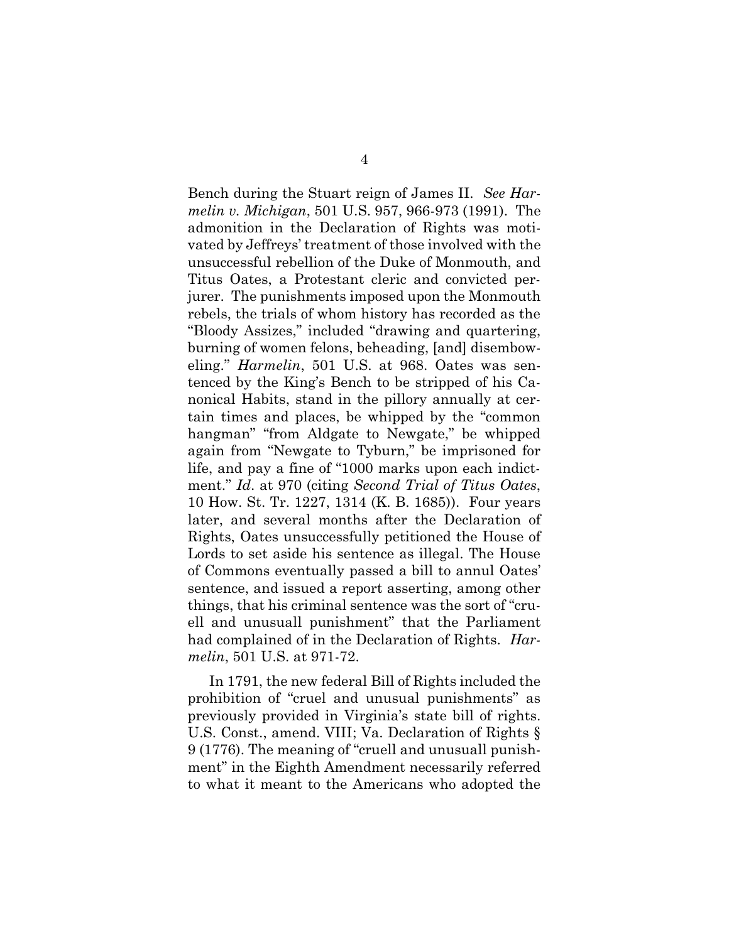Bench during the Stuart reign of James II. *See Harmelin v. Michigan*, 501 U.S. 957, 966-973 (1991). The admonition in the Declaration of Rights was motivated by Jeffreys' treatment of those involved with the unsuccessful rebellion of the Duke of Monmouth, and Titus Oates, a Protestant cleric and convicted perjurer. The punishments imposed upon the Monmouth rebels, the trials of whom history has recorded as the "Bloody Assizes," included "drawing and quartering, burning of women felons, beheading, [and] disemboweling." *Harmelin*, 501 U.S. at 968. Oates was sentenced by the King's Bench to be stripped of his Canonical Habits, stand in the pillory annually at certain times and places, be whipped by the "common hangman" "from Aldgate to Newgate," be whipped again from "Newgate to Tyburn," be imprisoned for life, and pay a fine of "1000 marks upon each indictment." *Id*. at 970 (citing *Second Trial of Titus Oates*, 10 How. St. Tr. 1227, 1314 (K. B. 1685)). Four years later, and several months after the Declaration of Rights, Oates unsuccessfully petitioned the House of Lords to set aside his sentence as illegal. The House of Commons eventually passed a bill to annul Oates' sentence, and issued a report asserting, among other things, that his criminal sentence was the sort of "cruell and unusuall punishment" that the Parliament had complained of in the Declaration of Rights. *Harmelin*, 501 U.S. at 971-72.

In 1791, the new federal Bill of Rights included the prohibition of "cruel and unusual punishments" as previously provided in Virginia's state bill of rights. U.S. Const., amend. VIII; Va. Declaration of Rights § 9 (1776). The meaning of "cruell and unusuall punishment" in the Eighth Amendment necessarily referred to what it meant to the Americans who adopted the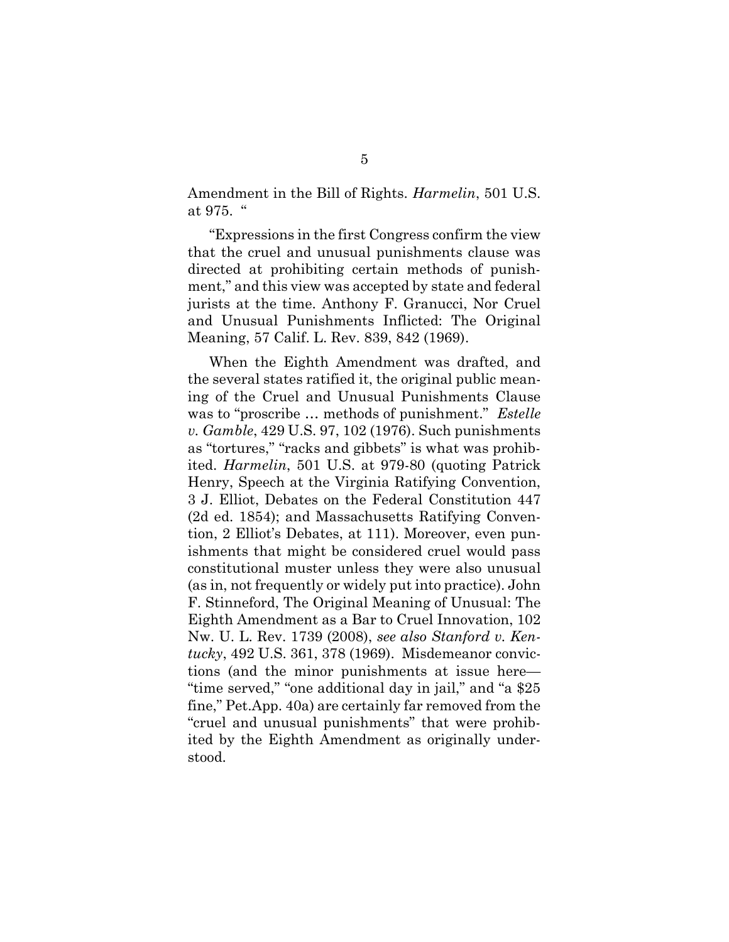Amendment in the Bill of Rights. *Harmelin*, 501 U.S. at 975. "

"Expressions in the first Congress confirm the view that the cruel and unusual punishments clause was directed at prohibiting certain methods of punishment," and this view was accepted by state and federal jurists at the time. Anthony F. Granucci, Nor Cruel and Unusual Punishments Inflicted: The Original Meaning, 57 Calif. L. Rev. 839, 842 (1969).

When the Eighth Amendment was drafted, and the several states ratified it, the original public meaning of the Cruel and Unusual Punishments Clause was to "proscribe … methods of punishment." *Estelle v. Gamble*, 429 U.S. 97, 102 (1976). Such punishments as "tortures," "racks and gibbets" is what was prohibited. *Harmelin*, 501 U.S. at 979-80 (quoting Patrick Henry, Speech at the Virginia Ratifying Convention, 3 J. Elliot, Debates on the Federal Constitution 447 (2d ed. 1854); and Massachusetts Ratifying Convention, 2 Elliot's Debates, at 111). Moreover, even punishments that might be considered cruel would pass constitutional muster unless they were also unusual (as in, not frequently or widely put into practice). John F. Stinneford, The Original Meaning of Unusual: The Eighth Amendment as a Bar to Cruel Innovation, 102 Nw. U. L. Rev. 1739 (2008), *see also Stanford v. Kentucky*, 492 U.S. 361, 378 (1969). Misdemeanor convictions (and the minor punishments at issue here— "time served," "one additional day in jail," and "a \$25 fine," Pet.App. 40a) are certainly far removed from the "cruel and unusual punishments" that were prohibited by the Eighth Amendment as originally understood.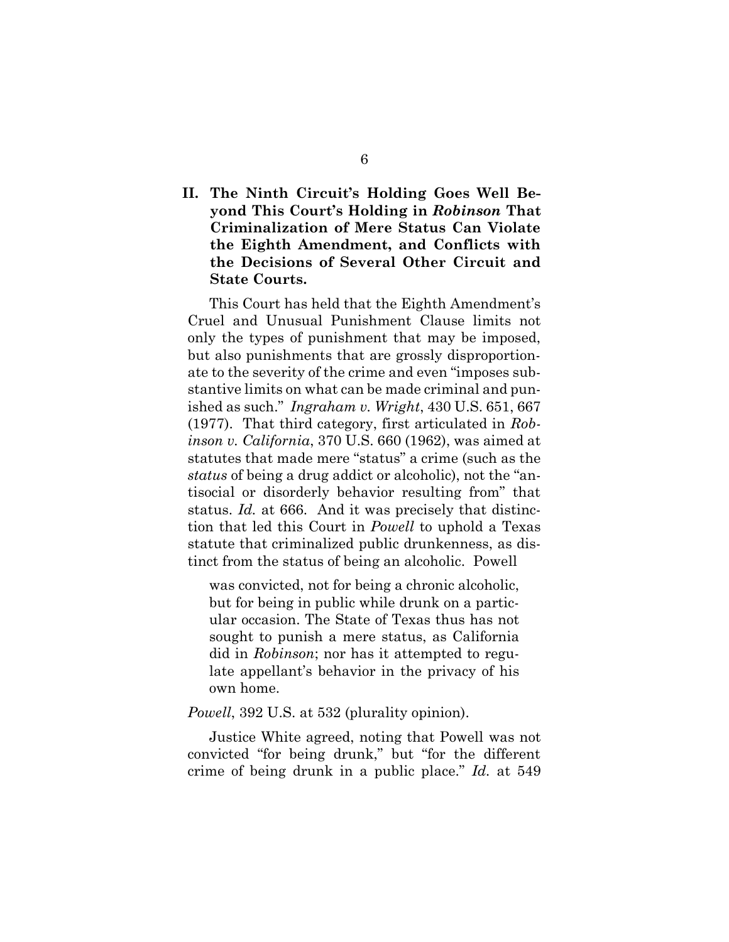### **II. The Ninth Circuit's Holding Goes Well Beyond This Court's Holding in** *Robinson* **That Criminalization of Mere Status Can Violate the Eighth Amendment, and Conflicts with the Decisions of Several Other Circuit and State Courts.**

This Court has held that the Eighth Amendment's Cruel and Unusual Punishment Clause limits not only the types of punishment that may be imposed, but also punishments that are grossly disproportionate to the severity of the crime and even "imposes substantive limits on what can be made criminal and punished as such." *Ingraham v. Wright*, 430 U.S. 651, 667 (1977). That third category, first articulated in *Robinson v. California*, 370 U.S. 660 (1962), was aimed at statutes that made mere "status" a crime (such as the *status* of being a drug addict or alcoholic), not the "antisocial or disorderly behavior resulting from" that status. *Id.* at 666. And it was precisely that distinction that led this Court in *Powell* to uphold a Texas statute that criminalized public drunkenness, as distinct from the status of being an alcoholic. Powell

was convicted, not for being a chronic alcoholic, but for being in public while drunk on a particular occasion. The State of Texas thus has not sought to punish a mere status, as California did in *Robinson*; nor has it attempted to regulate appellant's behavior in the privacy of his own home.

*Powell*, 392 U.S. at 532 (plurality opinion).

Justice White agreed, noting that Powell was not convicted "for being drunk," but "for the different crime of being drunk in a public place." *Id.* at 549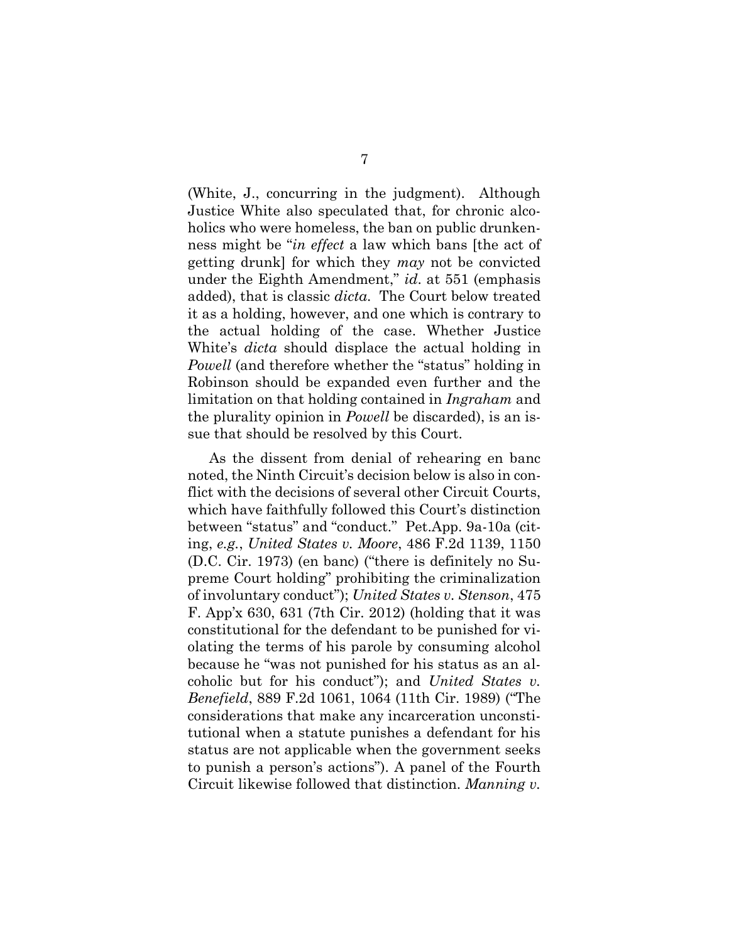(White, J., concurring in the judgment). Although Justice White also speculated that, for chronic alcoholics who were homeless, the ban on public drunkenness might be "*in effect* a law which bans [the act of getting drunk] for which they *may* not be convicted under the Eighth Amendment," *id*. at 551 (emphasis added), that is classic *dicta*. The Court below treated it as a holding, however, and one which is contrary to the actual holding of the case. Whether Justice White's *dicta* should displace the actual holding in *Powell* (and therefore whether the "status" holding in Robinson should be expanded even further and the limitation on that holding contained in *Ingraham* and the plurality opinion in *Powell* be discarded), is an issue that should be resolved by this Court.

As the dissent from denial of rehearing en banc noted, the Ninth Circuit's decision below is also in conflict with the decisions of several other Circuit Courts, which have faithfully followed this Court's distinction between "status" and "conduct." Pet.App. 9a-10a (citing, *e.g.*, *United States v. Moore*, 486 F.2d 1139, 1150 (D.C. Cir. 1973) (en banc) ("there is definitely no Supreme Court holding" prohibiting the criminalization of involuntary conduct"); *United States v. Stenson*, 475 F. App'x 630, 631 (7th Cir. 2012) (holding that it was constitutional for the defendant to be punished for violating the terms of his parole by consuming alcohol because he "was not punished for his status as an alcoholic but for his conduct"); and *United States v. Benefield*, 889 F.2d 1061, 1064 (11th Cir. 1989) ("The considerations that make any incarceration unconstitutional when a statute punishes a defendant for his status are not applicable when the government seeks to punish a person's actions"). A panel of the Fourth Circuit likewise followed that distinction. *Manning v.*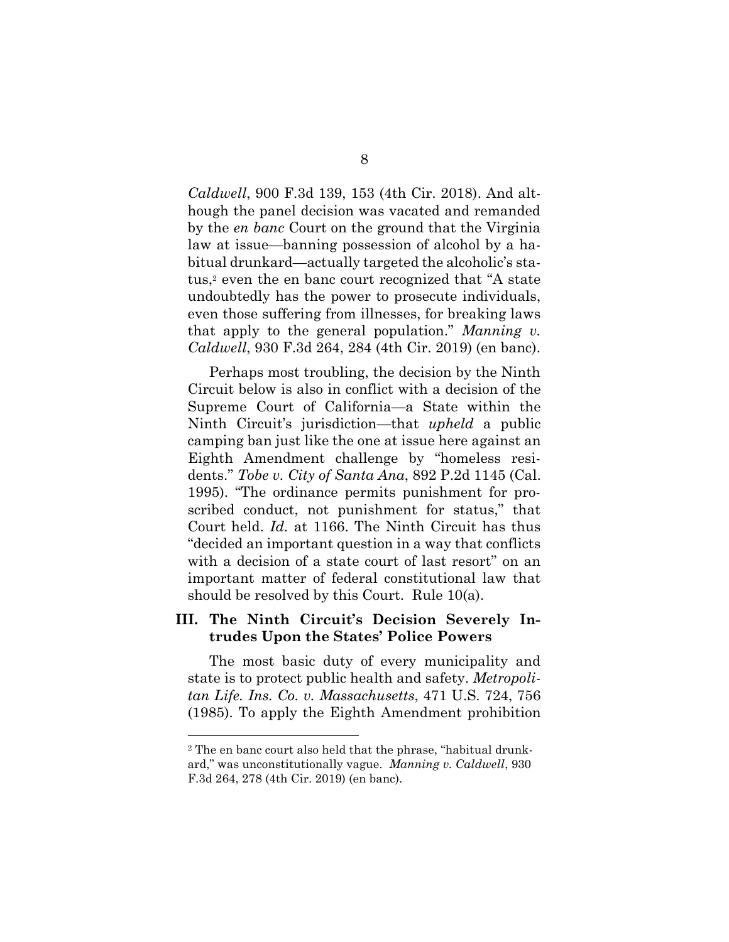*Caldwell*, 900 F.3d 139, 153 (4th Cir. 2018). And although the panel decision was vacated and remanded by the *en banc* Court on the ground that the Virginia law at issue—banning possession of alcohol by a habitual drunkard—actually targeted the alcoholic's status,<sup>2</sup> even the en banc court recognized that "A state" undoubtedly has the power to prosecute individuals, even those suffering from illnesses, for breaking laws that apply to the general population." *Manning v. Caldwell*, 930 F.3d 264, 284 (4th Cir. 2019) (en banc).

Perhaps most troubling, the decision by the Ninth Circuit below is also in conflict with a decision of the Supreme Court of California—a State within the Ninth Circuit's jurisdiction—that *upheld* a public camping ban just like the one at issue here against an Eighth Amendment challenge by "homeless residents." *Tobe v. City of Santa Ana*, 892 P.2d 1145 (Cal. 1995). "The ordinance permits punishment for proscribed conduct, not punishment for status," that Court held. *Id.* at 1166. The Ninth Circuit has thus "decided an important question in a way that conflicts with a decision of a state court of last resort" on an important matter of federal constitutional law that should be resolved by this Court. Rule 10(a).

#### **III. The Ninth Circuit's Decision Severely Intrudes Upon the States' Police Powers**

The most basic duty of every municipality and state is to protect public health and safety. *Metropolitan Life. Ins. Co. v. Massachusetts*, 471 U.S. 724, 756 (1985). To apply the Eighth Amendment prohibition

<sup>2</sup> The en banc court also held that the phrase, "habitual drunkard," was unconstitutionally vague. *Manning v. Caldwell*, 930 F.3d 264, 278 (4th Cir. 2019) (en banc).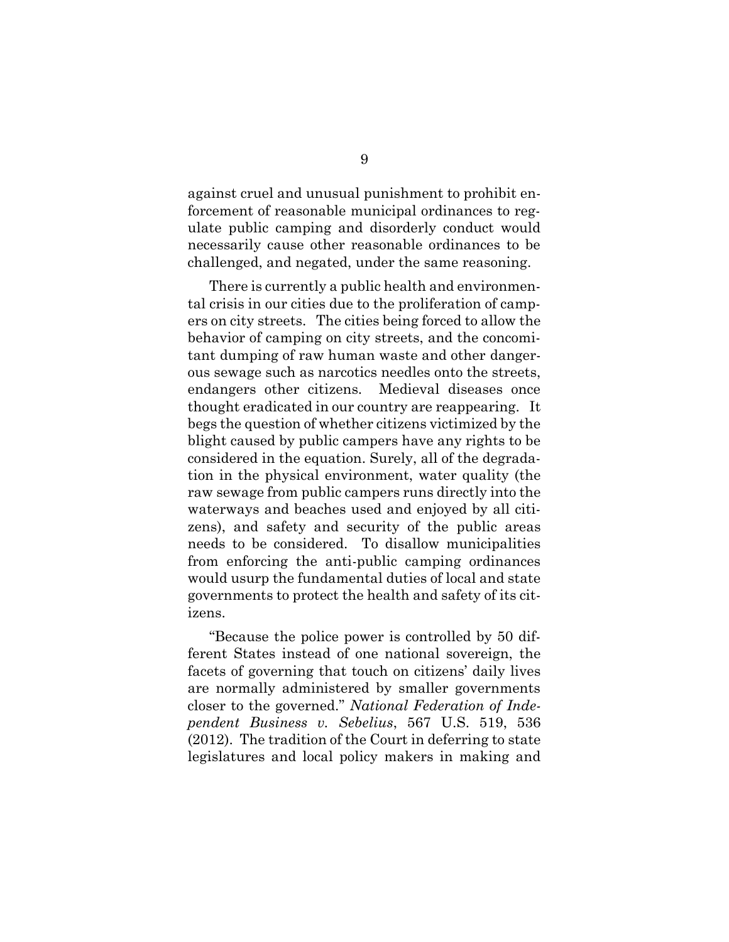against cruel and unusual punishment to prohibit enforcement of reasonable municipal ordinances to regulate public camping and disorderly conduct would necessarily cause other reasonable ordinances to be challenged, and negated, under the same reasoning.

There is currently a public health and environmental crisis in our cities due to the proliferation of campers on city streets. The cities being forced to allow the behavior of camping on city streets, and the concomitant dumping of raw human waste and other dangerous sewage such as narcotics needles onto the streets, endangers other citizens. Medieval diseases once thought eradicated in our country are reappearing. It begs the question of whether citizens victimized by the blight caused by public campers have any rights to be considered in the equation. Surely, all of the degradation in the physical environment, water quality (the raw sewage from public campers runs directly into the waterways and beaches used and enjoyed by all citizens), and safety and security of the public areas needs to be considered. To disallow municipalities from enforcing the anti-public camping ordinances would usurp the fundamental duties of local and state governments to protect the health and safety of its citizens.

"Because the police power is controlled by 50 different States instead of one national sovereign, the facets of governing that touch on citizens' daily lives are normally administered by smaller governments closer to the governed." *National Federation of Independent Business v. Sebelius*, 567 U.S. 519, 536 (2012). The tradition of the Court in deferring to state legislatures and local policy makers in making and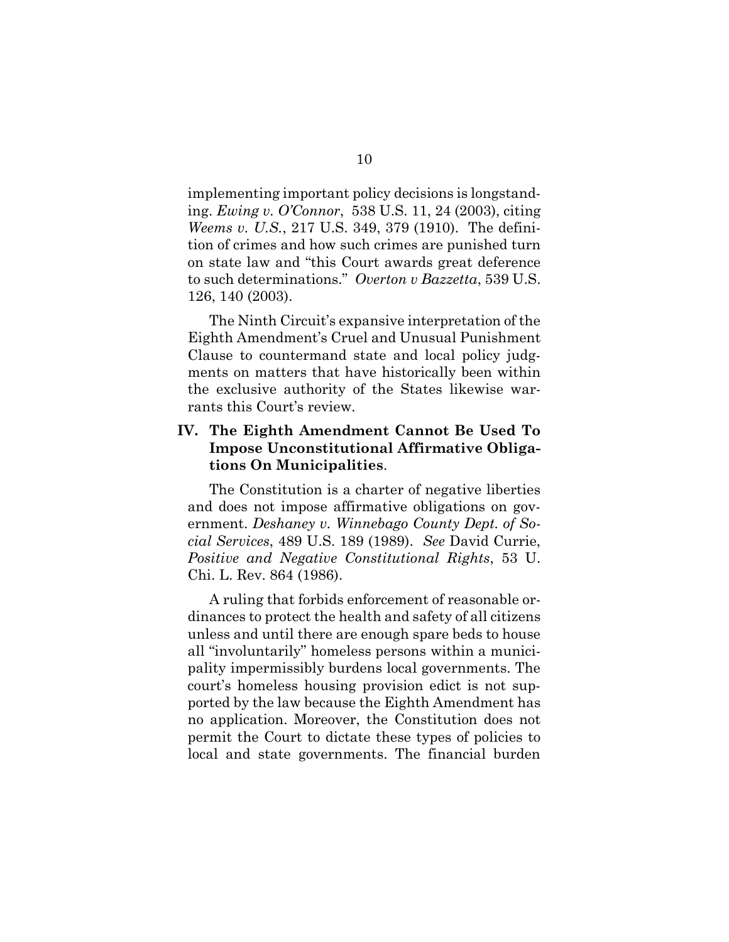implementing important policy decisions is longstanding. *Ewing v. O'Connor*, 538 U.S. 11, 24 (2003), citing *Weems v. U.S.*, 217 U.S. 349, 379 (1910). The definition of crimes and how such crimes are punished turn on state law and "this Court awards great deference to such determinations." *Overton v Bazzetta*, 539 U.S. 126, 140 (2003).

The Ninth Circuit's expansive interpretation of the Eighth Amendment's Cruel and Unusual Punishment Clause to countermand state and local policy judgments on matters that have historically been within the exclusive authority of the States likewise warrants this Court's review.

### **IV. The Eighth Amendment Cannot Be Used To Impose Unconstitutional Affirmative Obligations On Municipalities**.

The Constitution is a charter of negative liberties and does not impose affirmative obligations on government. *Deshaney v. Winnebago County Dept. of Social Services*, 489 U.S. 189 (1989). *See* David Currie, *Positive and Negative Constitutional Rights*, 53 U. Chi. L. Rev. 864 (1986).

A ruling that forbids enforcement of reasonable ordinances to protect the health and safety of all citizens unless and until there are enough spare beds to house all "involuntarily" homeless persons within a municipality impermissibly burdens local governments. The court's homeless housing provision edict is not supported by the law because the Eighth Amendment has no application. Moreover, the Constitution does not permit the Court to dictate these types of policies to local and state governments. The financial burden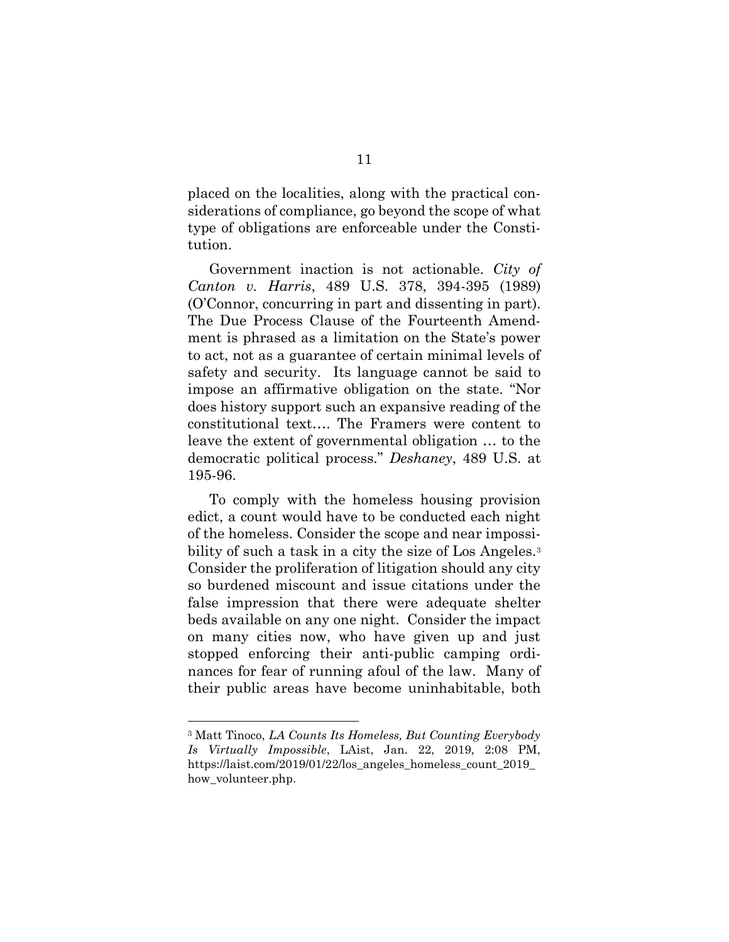placed on the localities, along with the practical considerations of compliance, go beyond the scope of what type of obligations are enforceable under the Constitution.

Government inaction is not actionable. *City of Canton v. Harris*, 489 U.S. 378, 394-395 (1989) (O'Connor, concurring in part and dissenting in part). The Due Process Clause of the Fourteenth Amendment is phrased as a limitation on the State's power to act, not as a guarantee of certain minimal levels of safety and security. Its language cannot be said to impose an affirmative obligation on the state. "Nor does history support such an expansive reading of the constitutional text…. The Framers were content to leave the extent of governmental obligation … to the democratic political process." *Deshaney*, 489 U.S. at 195-96.

To comply with the homeless housing provision edict, a count would have to be conducted each night of the homeless. Consider the scope and near impossibility of such a task in a city the size of Los Angeles.<sup>3</sup> Consider the proliferation of litigation should any city so burdened miscount and issue citations under the false impression that there were adequate shelter beds available on any one night. Consider the impact on many cities now, who have given up and just stopped enforcing their anti-public camping ordinances for fear of running afoul of the law. Many of their public areas have become uninhabitable, both

<sup>3</sup> Matt Tinoco, *LA Counts Its Homeless, But Counting Everybody Is Virtually Impossible*, LAist, Jan. 22, 2019, 2:08 PM, https://laist.com/2019/01/22/los\_angeles\_homeless\_count\_2019\_ how\_volunteer.php.